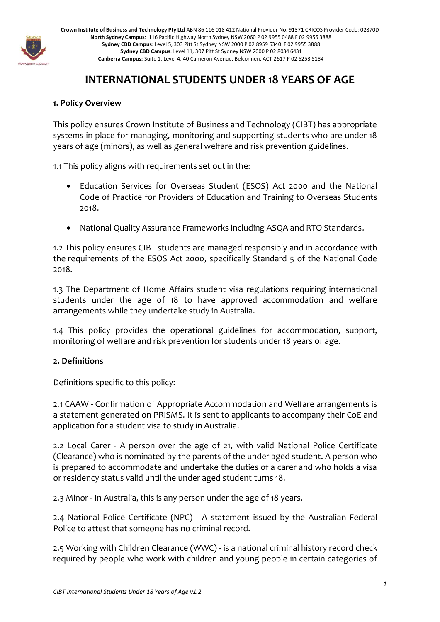

**Crown Institute of Business and Technology Pty Ltd** ABN 86 116 018 412 National Provider No: 91371 CRICOS Provider Code: 02870D **North Sydney Campus**: 116 Pacific Highway North Sydney NSW 2060 P 02 9955 0488 F 02 9955 3888 **Sydney CBD Campus**: Level 5, 303 Pitt St Sydney NSW 2000 P 02 8959 6340 F 02 9955 3888 **Sydney CBD Campus**: Level 11, 307 Pitt St Sydney NSW 2000 P 02 8034 6431 **Canberra Campus:** Suite 1, Level 4, 40 Cameron Avenue, Belconnen, ACT 2617 P 02 6253 5184

# **INTERNATIONAL STUDENTS UNDER 18 YEARS OF AGE**

# **1. Policy Overview**

This policy ensures Crown Institute of Business and Technology (CIBT) has appropriate systems in place for managing, monitoring and supporting students who are under 18 years of age (minors), as well as general welfare and risk prevention guidelines.

1.1 This policy aligns with requirements set out in the:

- Education Services for Overseas Student (ESOS) Act 2000 and the National Code of Practice for Providers of Education and Training to Overseas Students 2018.
- National Quality Assurance Frameworks including ASQA and RTO Standards.

1.2 This policy ensures CIBT students are managed responsibly and in accordance with the requirements of the ESOS Act 2000, specifically Standard 5 of the National Code 2018.

1.3 The Department of Home Affairs student visa regulations requiring international students under the age of 18 to have approved accommodation and welfare arrangements while they undertake study in Australia.

1.4 This policy provides the operational guidelines for accommodation, support, monitoring of welfare and risk prevention for students under 18 years of age.

#### **2. Definitions**

Definitions specific to this policy:

2.1 CAAW - Confirmation of Appropriate Accommodation and Welfare arrangements is a statement generated on PRISMS. It is sent to applicants to accompany their CoE and application for a student visa to study in Australia.

2.2 Local Carer - A person over the age of 21, with valid National Police Certificate (Clearance) who is nominated by the parents of the under aged student. A person who is prepared to accommodate and undertake the duties of a carer and who holds a visa or residency status valid until the under aged student turns 18.

2.3 Minor - In Australia, this is any person under the age of 18 years.

2.4 National Police Certificate (NPC) - A statement issued by the Australian Federal Police to attest that someone has no criminal record.

2.5 Working with Children Clearance (WWC) - is a national criminal history record check required by people who work with children and young people in certain categories of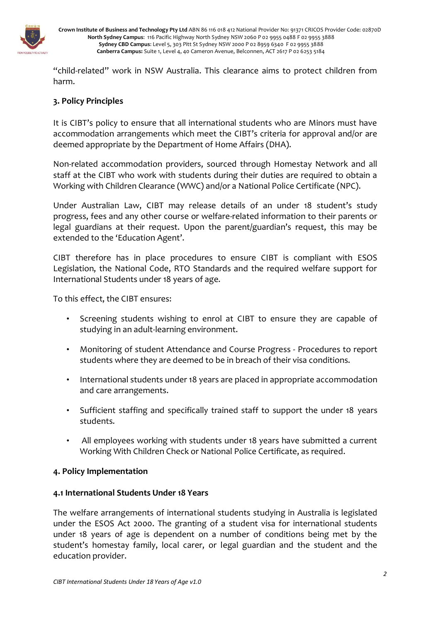

**Crown Institute of Business and Technology Pty Ltd** ABN 86 116 018 412 National Provider No: 91371 CRICOS Provider Code: 02870D **North Sydney Campus**: 116 Pacific Highway North Sydney NSW 2060 P 02 9955 0488 F 02 9955 3888 **Sydney CBD Campus**: Level 5, 303 Pitt St Sydney NSW 2000 P 02 8959 6340 F 02 9955 3888 **Canberra Campus:** Suite 1, Level 4, 40 Cameron Avenue, Belconnen, ACT 2617 P 02 6253 5184

"child-related" work in NSW Australia. This clearance aims to protect children from harm.

#### **3. Policy Principles**

It is CIBT's policy to ensure that all international students who are Minors must have accommodation arrangements which meet the CIBT's criteria for approval and/or are deemed appropriate by the Department of Home Affairs (DHA).

Non-related accommodation providers, sourced through Homestay Network and all staff at the CIBT who work with students during their duties are required to obtain a Working with Children Clearance (WWC) and/or a National Police Certificate (NPC).

Under Australian Law, CIBT may release details of an under 18 student's study progress, fees and any other course or welfare-related information to their parents or legal guardians at their request. Upon the parent/guardian's request, this may be extended to the 'Education Agent'.

CIBT therefore has in place procedures to ensure CIBT is compliant with ESOS Legislation, the National Code, RTO Standards and the required welfare support for International Students under 18 years of age.

To this effect, the CIBT ensures:

- Screening students wishing to enrol at CIBT to ensure they are capable of studying in an adult-learning environment.
- Monitoring of student Attendance and Course Progress Procedures to report students where they are deemed to be in breach of their visa conditions.
- International students under 18 years are placed in appropriate accommodation and care arrangements.
- Sufficient staffing and specifically trained staff to support the under 18 years students.
- All employees working with students under 18 years have submitted a current Working With Children Check or National Police Certificate, as required.

#### **4. Policy Implementation**

#### **4.1 International Students Under 18 Years**

The welfare arrangements of international students studying in Australia is legislated under the ESOS Act 2000. The granting of a student visa for international students under 18 years of age is dependent on a number of conditions being met by the student's homestay family, local carer, or legal guardian and the student and the education provider.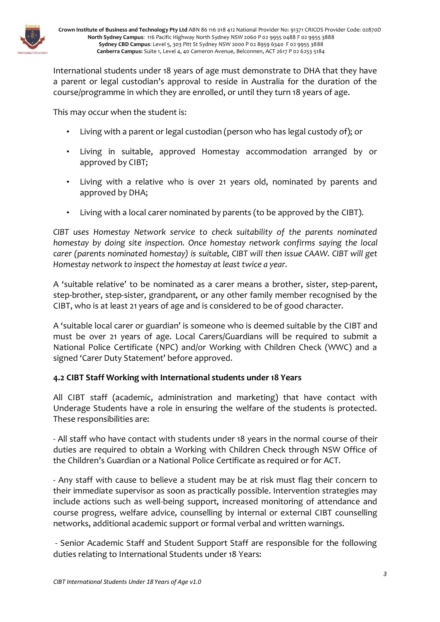

International students under 18 years of age must demonstrate to DHA that they have a parent or legal custodian's approval to reside in Australia for the duration of the course/programme in which they are enrolled, or until they turn 18 years of age.

This may occur when the student is:

- Living with a parent or legal custodian (person who has legal custody of); or
- Living in suitable, approved Homestay accommodation arranged by or approved by CIBT;
- Living with a relative who is over 21 years old, nominated by parents and approved by DHA;
- Living with a local carer nominated by parents (to be approved by the CIBT).

*CIBT uses Homestay Network service to check suitability of the parents nominated homestay by doing site inspection. Once homestay network confirms saying the local carer (parents nominated homestay) is suitable, CIBT will then issue CAAW. CIBT will get Homestay network to inspect the homestay at least twice a year.*

A 'suitable relative' to be nominated as a carer means a brother, sister, step-parent, step-brother, step-sister, grandparent, or any other family member recognised by the CIBT, who is at least 21 years of age and is considered to be of good character.

A 'suitable local carer or guardian' is someone who is deemed suitable by the CIBT and must be over 21 years of age. Local Carers/Guardians will be required to submit a National Police Certificate (NPC) and/or Working with Children Check (WWC) and a signed 'Carer Duty Statement' before approved.

# **4.2 CIBT Staff Working with International students under 18 Years**

All CIBT staff (academic, administration and marketing) that have contact with Underage Students have a role in ensuring the welfare of the students is protected. These responsibilities are:

- All staff who have contact with students under 18 years in the normal course of their duties are required to obtain a Working with Children Check through NSW Office of the Children's Guardian or a National Police Certificate as required or for ACT.

- Any staff with cause to believe a student may be at risk must flag their concern to their immediate supervisor as soon as practically possible. Intervention strategies may include actions such as well-being support, increased monitoring of attendance and course progress, welfare advice, counselling by internal or external CIBT counselling networks, additional academic support or formal verbal and written warnings.

- Senior Academic Staff and Student Support Staff are responsible for the following duties relating to International Students under 18 Years: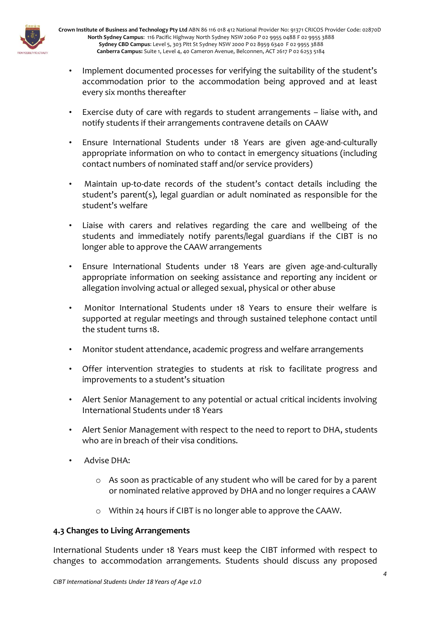

**Crown Institute of Business and Technology Pty Ltd** ABN 86 116 018 412 National Provider No: 91371 CRICOS Provider Code: 02870D **North Sydney Campus**: 116 Pacific Highway North Sydney NSW 2060 P 02 9955 0488 F 02 9955 3888 **Sydney CBD Campus**: Level 5, 303 Pitt St Sydney NSW 2000 P 02 8959 6340 F 02 9955 3888 **Canberra Campus:** Suite 1, Level 4, 40 Cameron Avenue, Belconnen, ACT 2617 P 02 6253 5184

- Implement documented processes for verifying the suitability of the student's accommodation prior to the accommodation being approved and at least every six months thereafter
- Exercise duty of care with regards to student arrangements liaise with, and notify students if their arrangements contravene details on CAAW
- Ensure International Students under 18 Years are given age-and-culturally appropriate information on who to contact in emergency situations (including contact numbers of nominated staff and/or service providers)
- Maintain up-to-date records of the student's contact details including the student's parent(s), legal guardian or adult nominated as responsible for the student's welfare
- Liaise with carers and relatives regarding the care and wellbeing of the students and immediately notify parents/legal guardians if the CIBT is no longer able to approve the CAAW arrangements
- Ensure International Students under 18 Years are given age-and-culturally appropriate information on seeking assistance and reporting any incident or allegation involving actual or alleged sexual, physical or other abuse
- Monitor International Students under 18 Years to ensure their welfare is supported at regular meetings and through sustained telephone contact until the student turns 18.
- Monitor student attendance, academic progress and welfare arrangements
- Offer intervention strategies to students at risk to facilitate progress and improvements to a student's situation
- Alert Senior Management to any potential or actual critical incidents involving International Students under 18 Years
- Alert Senior Management with respect to the need to report to DHA, students who are in breach of their visa conditions.
- Advise DHA:
	- o As soon as practicable of any student who will be cared for by a parent or nominated relative approved by DHA and no longer requires a CAAW
	- o Within 24 hours if CIBT is no longer able to approve the CAAW.

# **4.3 Changes to Living Arrangements**

International Students under 18 Years must keep the CIBT informed with respect to changes to accommodation arrangements. Students should discuss any proposed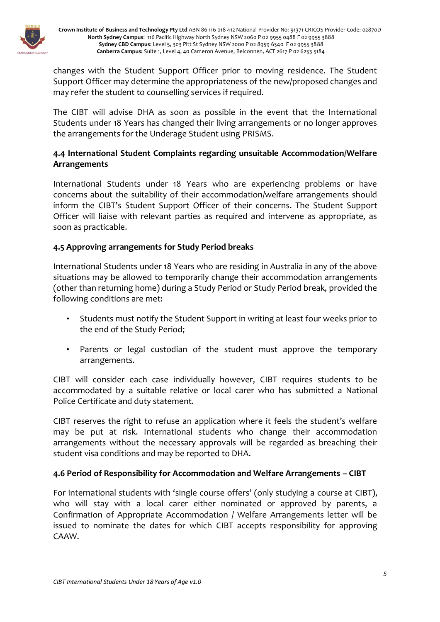

changes with the Student Support Officer prior to moving residence. The Student Support Officer may determine the appropriateness of the new/proposed changes and may refer the student to counselling services if required.

The CIBT will advise DHA as soon as possible in the event that the International Students under 18 Years has changed their living arrangements or no longer approves the arrangements for the Underage Student using PRISMS.

# **4.4 International Student Complaints regarding unsuitable Accommodation/Welfare Arrangements**

International Students under 18 Years who are experiencing problems or have concerns about the suitability of their accommodation/welfare arrangements should inform the CIBT's Student Support Officer of their concerns. The Student Support Officer will liaise with relevant parties as required and intervene as appropriate, as soon as practicable.

# **4.5 Approving arrangements for Study Period breaks**

International Students under 18 Years who are residing in Australia in any of the above situations may be allowed to temporarily change their accommodation arrangements (other than returning home) during a Study Period or Study Period break, provided the following conditions are met:

- Students must notify the Student Support in writing at least four weeks prior to the end of the Study Period;
- Parents or legal custodian of the student must approve the temporary arrangements.

CIBT will consider each case individually however, CIBT requires students to be accommodated by a suitable relative or local carer who has submitted a National Police Certificate and duty statement.

CIBT reserves the right to refuse an application where it feels the student's welfare may be put at risk. International students who change their accommodation arrangements without the necessary approvals will be regarded as breaching their student visa conditions and may be reported to DHA.

#### **4.6 Period of Responsibility for Accommodation and Welfare Arrangements – CIBT**

For international students with 'single course offers' (only studying a course at CIBT), who will stay with a local carer either nominated or approved by parents, a Confirmation of Appropriate Accommodation / Welfare Arrangements letter will be issued to nominate the dates for which CIBT accepts responsibility for approving CAAW.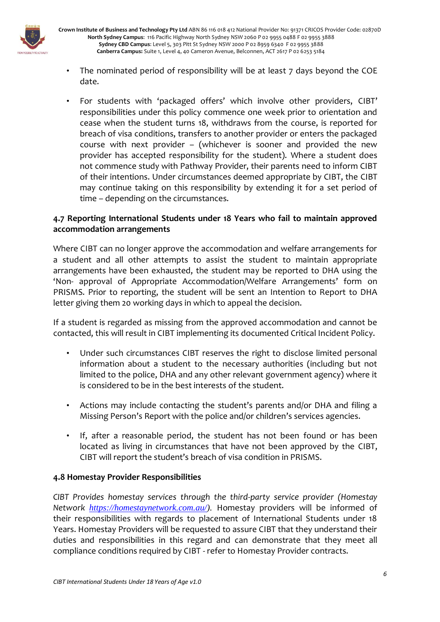

**Crown Institute of Business and Technology Pty Ltd** ABN 86 116 018 412 National Provider No: 91371 CRICOS Provider Code: 02870D **North Sydney Campus**: 116 Pacific Highway North Sydney NSW 2060 P 02 9955 0488 F 02 9955 3888 **Sydney CBD Campus**: Level 5, 303 Pitt St Sydney NSW 2000 P 02 8959 6340 F 02 9955 3888 **Canberra Campus:** Suite 1, Level 4, 40 Cameron Avenue, Belconnen, ACT 2617 P 02 6253 5184

- The nominated period of responsibility will be at least 7 days beyond the COE date.
- For students with 'packaged offers' which involve other providers, CIBT' responsibilities under this policy commence one week prior to orientation and cease when the student turns 18, withdraws from the course, is reported for breach of visa conditions, transfers to another provider or enters the packaged course with next provider – (whichever is sooner and provided the new provider has accepted responsibility for the student). Where a student does not commence study with Pathway Provider, their parents need to inform CIBT of their intentions. Under circumstances deemed appropriate by CIBT, the CIBT may continue taking on this responsibility by extending it for a set period of time – depending on the circumstances.

### **4.7 Reporting International Students under 18 Years who fail to maintain approved accommodation arrangements**

Where CIBT can no longer approve the accommodation and welfare arrangements for a student and all other attempts to assist the student to maintain appropriate arrangements have been exhausted, the student may be reported to DHA using the 'Non- approval of Appropriate Accommodation/Welfare Arrangements' form on PRISMS. Prior to reporting, the student will be sent an Intention to Report to DHA letter giving them 20 working days in which to appeal the decision.

If a student is regarded as missing from the approved accommodation and cannot be contacted, this will result in CIBT implementing its documented Critical Incident Policy.

- Under such circumstances CIBT reserves the right to disclose limited personal information about a student to the necessary authorities (including but not limited to the police, DHA and any other relevant government agency) where it is considered to be in the best interests of the student.
- Actions may include contacting the student's parents and/or DHA and filing a Missing Person's Report with the police and/or children's services agencies.
- If, after a reasonable period, the student has not been found or has been located as living in circumstances that have not been approved by the CIBT, CIBT will report the student's breach of visa condition in PRISMS.

# **4.8 Homestay Provider Responsibilities**

*CIBT Provides homestay services through the third-party service provider (Homestay Network [https://homestaynetwork.com.au/\)](https://homestaynetwork.com.au/).* Homestay providers will be informed of their responsibilities with regards to placement of International Students under 18 Years. Homestay Providers will be requested to assure CIBT that they understand their duties and responsibilities in this regard and can demonstrate that they meet all compliance conditions required by CIBT - refer to Homestay Provider contracts.